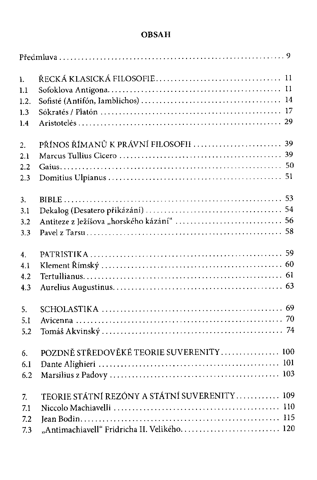## **OBSAH**

| $\mathbf{l}$ . |                                              |
|----------------|----------------------------------------------|
| 1.1            |                                              |
| 1.2.           |                                              |
| 1.3            |                                              |
| 1.4            |                                              |
| 2.             |                                              |
| 2.1            |                                              |
| 2.2            |                                              |
| 2.3            |                                              |
| 3.             |                                              |
| 3.1            |                                              |
| 3,2            |                                              |
| 3.3            |                                              |
| 4.             |                                              |
| 4.1            |                                              |
| 4.2            |                                              |
| 4.3            |                                              |
| 5.             |                                              |
| 5.1            |                                              |
| 5.2            |                                              |
| 6.             | POZDNĚ STŘEDOVĚKÉ TEORIE SUVERENITY 100      |
| 6.1            |                                              |
| 6.2            |                                              |
| 7.             | TEORIE STÁTNÍ REZÓNY A STÁTNÍ SUVERENITY 109 |
| 7.1            |                                              |
| 7.2            |                                              |
| 7.3            | "Antimachiavell" Fridricha II. Velikého 120  |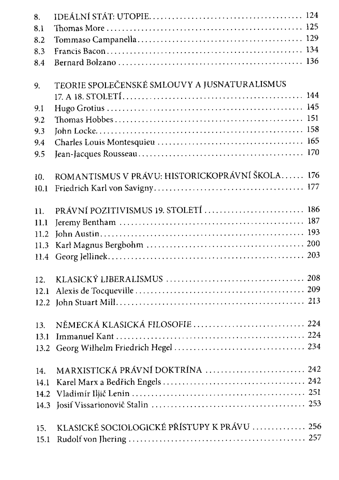| 8.   |                                                 |  |
|------|-------------------------------------------------|--|
| 8.1  |                                                 |  |
| 8.2  |                                                 |  |
| 8.3  |                                                 |  |
| 8.4  |                                                 |  |
|      |                                                 |  |
| 9.   | TEORIE SPOLEČENSKÉ SMLOUVY A JUSNATURALISMUS    |  |
|      |                                                 |  |
| 9.1  |                                                 |  |
| 9.2  |                                                 |  |
| 9.3  |                                                 |  |
| 9.4  |                                                 |  |
| 9.5  |                                                 |  |
|      |                                                 |  |
| 10.  | ROMANTISMUS V PRÁVU: HISTORICKOPRÁVNÍ ŠKOLA 176 |  |
| 10.1 |                                                 |  |
|      |                                                 |  |
| 11.  | PRÁVNÍ POZITIVISMUS 19. STOLETÍ  186            |  |
| 11.1 |                                                 |  |
| 11.2 |                                                 |  |
| 11.3 |                                                 |  |
| 11.4 |                                                 |  |
|      |                                                 |  |
| 12.  |                                                 |  |
| 12.1 |                                                 |  |
| 12.2 |                                                 |  |
|      |                                                 |  |
| 13.  | NĚMECKÁ KLASICKÁ FILOSOFIE  224                 |  |
| 13.1 |                                                 |  |
| 13.2 |                                                 |  |
|      |                                                 |  |
| 14.  | MARXISTICKÁ PRÁVNÍ DOKTRÍNA  242                |  |
| 14.1 |                                                 |  |
| 14.2 |                                                 |  |
| 14.3 |                                                 |  |
|      |                                                 |  |
| 15.  | KLASICKÉ SOCIOLOGICKÉ PŘÍSTUPY K PRÁVU  256     |  |
| 15.1 |                                                 |  |
|      |                                                 |  |